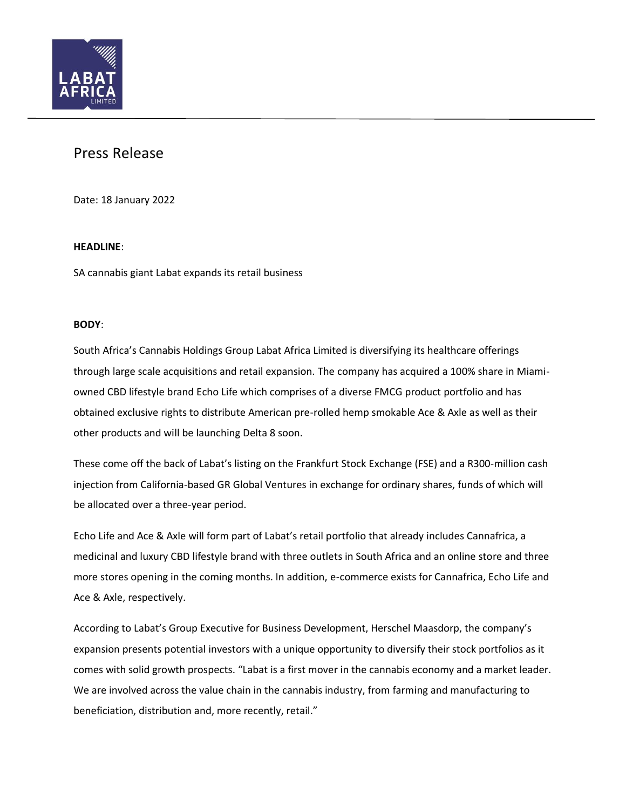

# Press Release

Date: 18 January 2022

# **HEADLINE**:

SA cannabis giant Labat expands its retail business

## **BODY**:

South Africa's Cannabis Holdings Group Labat Africa Limited is diversifying its healthcare offerings through large scale acquisitions and retail expansion. The company has acquired a 100% share in Miamiowned CBD lifestyle brand Echo Life which comprises of a diverse FMCG product portfolio and has obtained exclusive rights to distribute American pre-rolled hemp smokable Ace & Axle as well as their other products and will be launching Delta 8 soon.

These come off the back of Labat's listing on the Frankfurt Stock Exchange (FSE) and a R300-million cash injection from California-based GR Global Ventures in exchange for ordinary shares, funds of which will be allocated over a three-year period.

Echo Life and Ace & Axle will form part of Labat's retail portfolio that already includes Cannafrica, a medicinal and luxury CBD lifestyle brand with three outlets in South Africa and an online store and three more stores opening in the coming months. In addition, e-commerce exists for Cannafrica, Echo Life and Ace & Axle, respectively.

According to Labat's Group Executive for Business Development, Herschel Maasdorp, the company's expansion presents potential investors with a unique opportunity to diversify their stock portfolios as it comes with solid growth prospects. "Labat is a first mover in the cannabis economy and a market leader. We are involved across the value chain in the cannabis industry, from farming and manufacturing to beneficiation, distribution and, more recently, retail."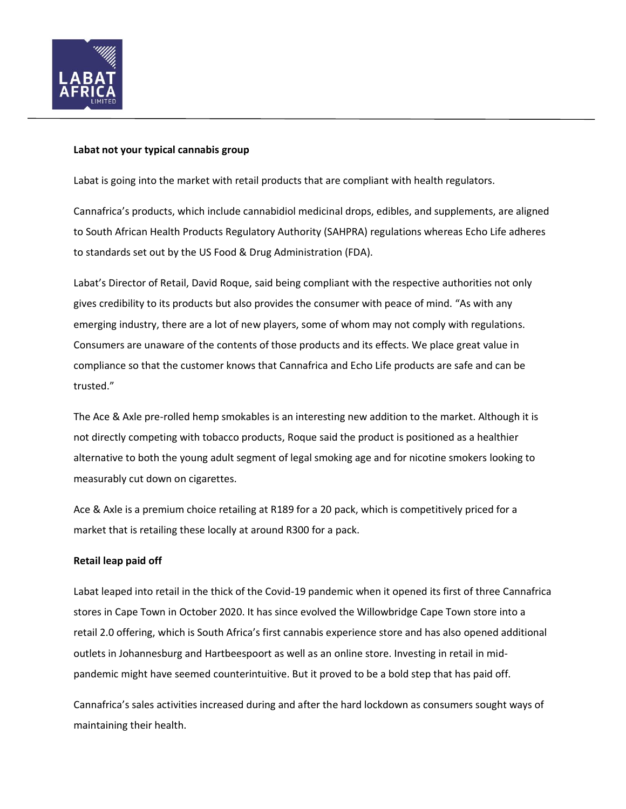

# **Labat not your typical cannabis group**

Labat is going into the market with retail products that are compliant with health regulators.

Cannafrica's products, which include cannabidiol medicinal drops, edibles, and supplements, are aligned to South African Health Products Regulatory Authority (SAHPRA) regulations whereas Echo Life adheres to standards set out by the US Food & Drug Administration (FDA).

Labat's Director of Retail, David Roque, said being compliant with the respective authorities not only gives credibility to its products but also provides the consumer with peace of mind. "As with any emerging industry, there are a lot of new players, some of whom may not comply with regulations. Consumers are unaware of the contents of those products and its effects. We place great value in compliance so that the customer knows that Cannafrica and Echo Life products are safe and can be trusted."

The Ace & Axle pre-rolled hemp smokables is an interesting new addition to the market. Although it is not directly competing with tobacco products, Roque said the product is positioned as a healthier alternative to both the young adult segment of legal smoking age and for nicotine smokers looking to measurably cut down on cigarettes.

Ace & Axle is a premium choice retailing at R189 for a 20 pack, which is competitively priced for a market that is retailing these locally at around R300 for a pack.

## **Retail leap paid off**

Labat leaped into retail in the thick of the Covid-19 pandemic when it opened its first of three Cannafrica stores in Cape Town in October 2020. It has since evolved the Willowbridge Cape Town store into a retail 2.0 offering, which is South Africa's first cannabis experience store and has also opened additional outlets in Johannesburg and Hartbeespoort as well as an online store. Investing in retail in midpandemic might have seemed counterintuitive. But it proved to be a bold step that has paid off.

Cannafrica's sales activities increased during and after the hard lockdown as consumers sought ways of maintaining their health.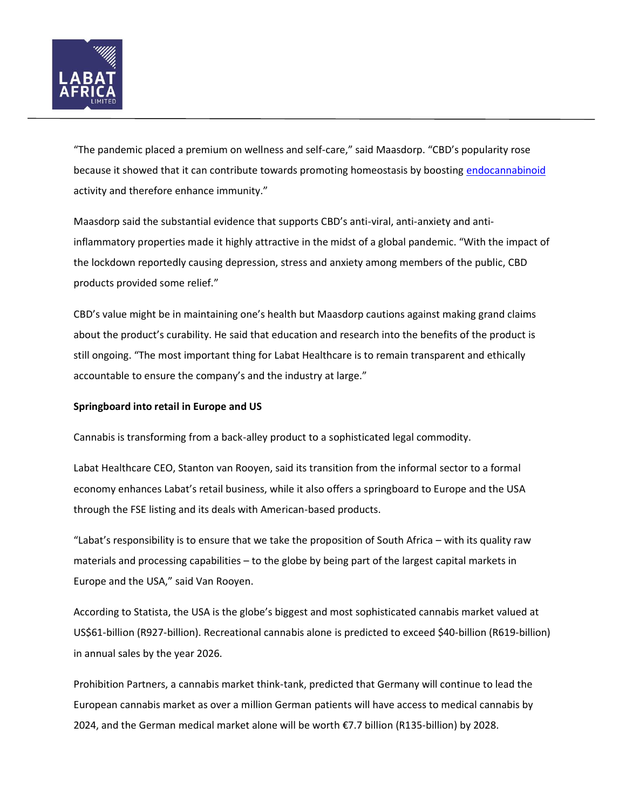

"The pandemic placed a premium on wellness and self-care," said Maasdorp. "CBD's popularity rose because it showed that it can contribute towards promoting homeostasis by boosting [endocannabinoid](https://www.medicalnewstoday.com/articles/endocannabinoid) activity and therefore enhance immunity."

Maasdorp said the substantial evidence that supports CBD's anti-viral, anti-anxiety and antiinflammatory properties made it highly attractive in the midst of a global pandemic. "With the impact of the lockdown reportedly causing depression, stress and anxiety among members of the public, CBD products provided some relief."

CBD's value might be in maintaining one's health but Maasdorp cautions against making grand claims about the product's curability. He said that education and research into the benefits of the product is still ongoing. "The most important thing for Labat Healthcare is to remain transparent and ethically accountable to ensure the company's and the industry at large."

## **Springboard into retail in Europe and US**

Cannabis is transforming from a back-alley product to a sophisticated legal commodity.

Labat Healthcare CEO, Stanton van Rooyen, said its transition from the informal sector to a formal economy enhances Labat's retail business, while it also offers a springboard to Europe and the USA through the FSE listing and its deals with American-based products.

"Labat's responsibility is to ensure that we take the proposition of South Africa – with its quality raw materials and processing capabilities – to the globe by being part of the largest capital markets in Europe and the USA," said Van Rooyen.

According to Statista, the USA is the globe's biggest and most sophisticated cannabis market valued at US\$61-billion (R927-billion). Recreational cannabis alone is predicted to exceed \$40-billion (R619-billion) in annual sales by the year 2026.

Prohibition Partners, a cannabis market think-tank, predicted that Germany will continue to lead the European cannabis market as over a million German patients will have access to medical cannabis by 2024, and the German medical market alone will be worth €7.7 billion (R135-billion) by 2028.